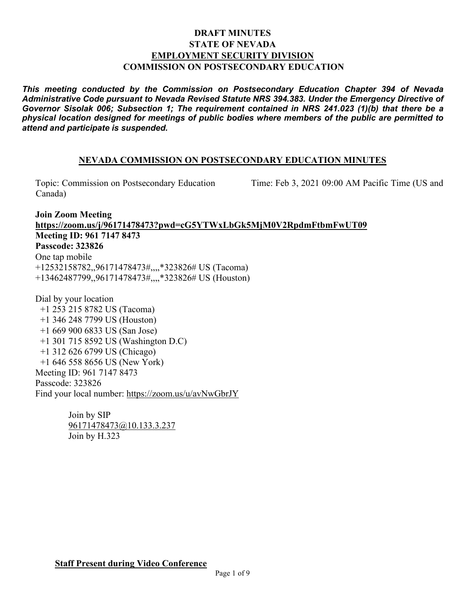### **DRAFT MINUTES STATE OF NEVADA EMPLOYMENT SECURITY DIVISION COMMISSION ON POSTSECONDARY EDUCATION**

*This meeting conducted by the Commission on Postsecondary Education Chapter 394 of Nevada Administrative Code pursuant to Nevada Revised Statute NRS 394.383. Under the Emergency Directive of Governor Sisolak 006; Subsection 1; The requirement contained in NRS 241.023 (1)(b) that there be a physical location designed for meetings of public bodies where members of the public are permitted to attend and participate is suspended.*

### **NEVADA COMMISSION ON POSTSECONDARY EDUCATION MINUTES**

Canada)

Topic: Commission on Postsecondary Education Time: Feb 3, 2021 09:00 AM Pacific Time (US and

**Join Zoom Meeting <https://zoom.us/j/96171478473?pwd=cG5YTWxLbGk5MjM0V2RpdmFtbmFwUT09> Meeting ID: 961 7147 8473 Passcode: 323826** One tap mobile +12532158782,,96171478473#,,,,\*323826# US (Tacoma) +13462487799,,96171478473#,,,,\*323826# US (Houston)

Dial by your location +1 253 215 8782 US (Tacoma) +1 346 248 7799 US (Houston) +1 669 900 6833 US (San Jose) +1 301 715 8592 US (Washington D.C) +1 312 626 6799 US (Chicago) +1 646 558 8656 US (New York) Meeting ID: 961 7147 8473 Passcode: 323826 Find your local number:<https://zoom.us/u/avNwGbrJY>

> Join by SIP [96171478473@10.133.3.237](mailto:96171478473@10.133.3.237) Join by H.323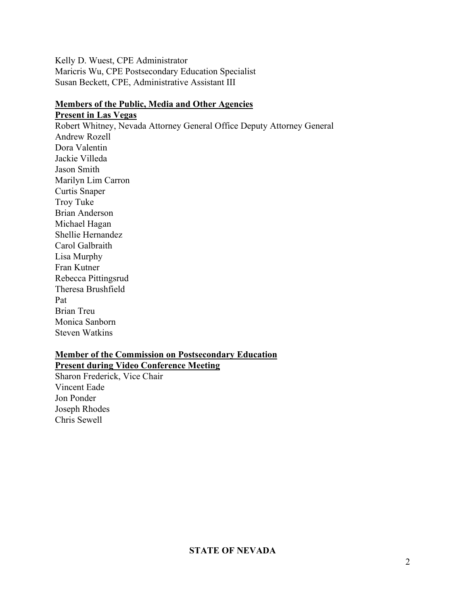Kelly D. Wuest, CPE Administrator Maricris Wu, CPE Postsecondary Education Specialist Susan Beckett, CPE, Administrative Assistant III

## **Members of the Public, Media and Other Agencies**

**Present in Las Vegas** Robert Whitney, Nevada Attorney General Office Deputy Attorney General Andrew Rozell Dora Valentin Jackie Villeda Jason Smith Marilyn Lim Carron Curtis Snaper Troy Tuke Brian Anderson Michael Hagan Shellie Hernandez Carol Galbraith Lisa Murphy Fran Kutner Rebecca Pittingsrud Theresa Brushfield Pat Brian Treu Monica Sanborn

Steven Watkins

# **Member of the Commission on Postsecondary Education**

**Present during Video Conference Meeting**

Sharon Frederick, Vice Chair Vincent Eade Jon Ponder Joseph Rhodes Chris Sewell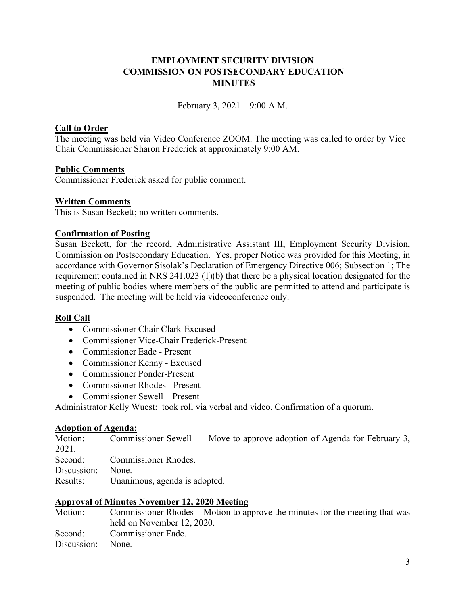### **EMPLOYMENT SECURITY DIVISION COMMISSION ON POSTSECONDARY EDUCATION MINUTES**

February 3, 2021 – 9:00 A.M.

### **Call to Order**

The meeting was held via Video Conference ZOOM. The meeting was called to order by Vice Chair Commissioner Sharon Frederick at approximately 9:00 AM.

### **Public Comments**

Commissioner Frederick asked for public comment.

### **Written Comments**

This is Susan Beckett; no written comments.

### **Confirmation of Posting**

Susan Beckett, for the record, Administrative Assistant III, Employment Security Division, Commission on Postsecondary Education. Yes, proper Notice was provided for this Meeting, in accordance with Governor Sisolak's Declaration of Emergency Directive 006; Subsection 1; The requirement contained in NRS 241.023 (1)(b) that there be a physical location designated for the meeting of public bodies where members of the public are permitted to attend and participate is suspended. The meeting will be held via videoconference only.

### **Roll Call**

- Commissioner Chair Clark-Excused
- Commissioner Vice-Chair Frederick-Present
- Commissioner Eade Present
- Commissioner Kenny Excused
- Commissioner Ponder-Present
- Commissioner Rhodes Present
- Commissioner Sewell Present

Administrator Kelly Wuest: took roll via verbal and video. Confirmation of a quorum.

### **Adoption of Agenda:**

| Motion:     | Commissioner Sewell $\,$ – Move to approve adoption of Agenda for February 3, |
|-------------|-------------------------------------------------------------------------------|
| 2021.       |                                                                               |
| Second:     | <b>Commissioner Rhodes.</b>                                                   |
| Discussion: | None.                                                                         |
| Results:    | Unanimous, agenda is adopted.                                                 |

### **Approval of Minutes November 12, 2020 Meeting**

| Motion:           | Commissioner Rhodes – Motion to approve the minutes for the meeting that was |
|-------------------|------------------------------------------------------------------------------|
|                   | held on November 12, 2020.                                                   |
| Second:           | Commissioner Eade.                                                           |
| Discussion: None. |                                                                              |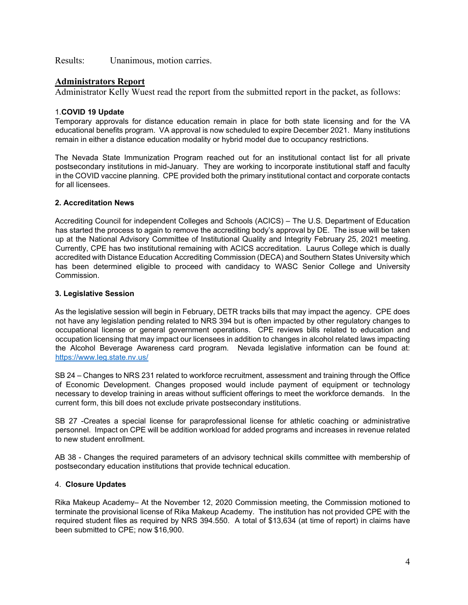Results: Unanimous, motion carries.

### **Administrators Report**

Administrator Kelly Wuest read the report from the submitted report in the packet, as follows:

#### 1.**COVID 19 Update**

Temporary approvals for distance education remain in place for both state licensing and for the VA educational benefits program. VA approval is now scheduled to expire December 2021. Many institutions remain in either a distance education modality or hybrid model due to occupancy restrictions.

The Nevada State Immunization Program reached out for an institutional contact list for all private postsecondary institutions in mid-January. They are working to incorporate institutional staff and faculty in the COVID vaccine planning. CPE provided both the primary institutional contact and corporate contacts for all licensees.

#### **2. Accreditation News**

Accrediting Council for independent Colleges and Schools (ACICS) – The U.S. Department of Education has started the process to again to remove the accrediting body's approval by DE. The issue will be taken up at the National Advisory Committee of Institutional Quality and Integrity February 25, 2021 meeting. Currently, CPE has two institutional remaining with ACICS accreditation. Laurus College which is dually accredited with Distance Education Accrediting Commission (DECA) and Southern States University which has been determined eligible to proceed with candidacy to WASC Senior College and University Commission.

#### **3. Legislative Session**

As the legislative session will begin in February, DETR tracks bills that may impact the agency. CPE does not have any legislation pending related to NRS 394 but is often impacted by other regulatory changes to occupational license or general government operations. CPE reviews bills related to education and occupation licensing that may impact our licensees in addition to changes in alcohol related laws impacting the Alcohol Beverage Awareness card program. Nevada legislative information can be found at: <https://www.leg.state.nv.us/>

SB 24 – Changes to NRS 231 related to workforce recruitment, assessment and training through the Office of Economic Development. Changes proposed would include payment of equipment or technology necessary to develop training in areas without sufficient offerings to meet the workforce demands. In the current form, this bill does not exclude private postsecondary institutions.

SB 27 -Creates a special license for paraprofessional license for athletic coaching or administrative personnel. Impact on CPE will be addition workload for added programs and increases in revenue related to new student enrollment.

AB 38 - Changes the required parameters of an advisory technical skills committee with membership of postsecondary education institutions that provide technical education.

#### 4. **Closure Updates**

Rika Makeup Academy– At the November 12, 2020 Commission meeting, the Commission motioned to terminate the provisional license of Rika Makeup Academy. The institution has not provided CPE with the required student files as required by NRS 394.550. A total of \$13,634 (at time of report) in claims have been submitted to CPE; now \$16,900.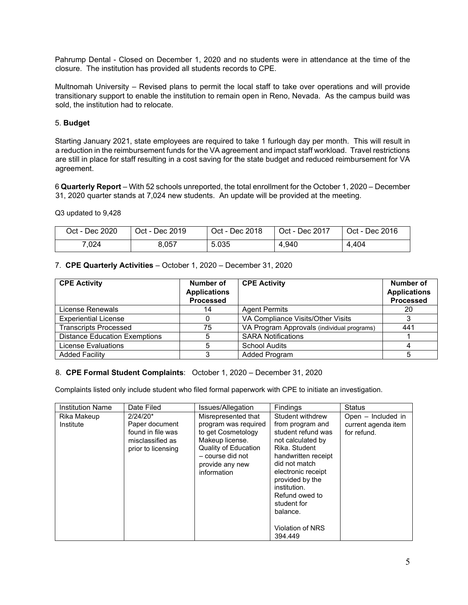Pahrump Dental - Closed on December 1, 2020 and no students were in attendance at the time of the closure. The institution has provided all students records to CPE.

Multnomah University – Revised plans to permit the local staff to take over operations and will provide transitionary support to enable the institution to remain open in Reno, Nevada. As the campus build was sold, the institution had to relocate.

#### 5. **Budget**

Starting January 2021, state employees are required to take 1 furlough day per month. This will result in a reduction in the reimbursement funds for the VA agreement and impact staff workload. Travel restrictions are still in place for staff resulting in a cost saving for the state budget and reduced reimbursement for VA agreement.

6 **Quarterly Report** – With 52 schools unreported, the total enrollment for the October 1, 2020 – December 31, 2020 quarter stands at 7,024 new students. An update will be provided at the meeting.

Q3 updated to 9,428

| Oct - Dec 2020 | Oct - Dec 2019 | Oct - Dec 2018 | Oct - Dec 2017 | Oct - Dec 2016 |
|----------------|----------------|----------------|----------------|----------------|
| 7.024          | 8.057          | 5.035          | 4.940          | 4,404          |

### 7. **CPE Quarterly Activities** – October 1, 2020 – December 31, 2020

| <b>CPE Activity</b>                  | Number of<br><b>Applications</b><br><b>Processed</b> | <b>CPE Activity</b>                        | Number of<br><b>Applications</b><br><b>Processed</b> |
|--------------------------------------|------------------------------------------------------|--------------------------------------------|------------------------------------------------------|
| License Renewals                     | 14                                                   | <b>Agent Permits</b>                       | 20                                                   |
| <b>Experiential License</b>          |                                                      | VA Compliance Visits/Other Visits          |                                                      |
| <b>Transcripts Processed</b>         | 75                                                   | VA Program Approvals (individual programs) | 441                                                  |
| <b>Distance Education Exemptions</b> |                                                      | <b>SARA Notifications</b>                  |                                                      |
| <b>License Evaluations</b>           |                                                      | <b>School Audits</b>                       |                                                      |
| <b>Added Facility</b>                | 3                                                    | <b>Added Program</b>                       |                                                      |

### 8. **CPE Formal Student Complaints**: October 1, 2020 – December 31, 2020

Complaints listed only include student who filed formal paperwork with CPE to initiate an investigation.

| <b>Institution Name</b>  | Date Filed                                                                                  | Issues/Allegation                                                                                                                                                         | <b>Findings</b>                                                                                                                                                                                                                                                               | <b>Status</b>                                            |
|--------------------------|---------------------------------------------------------------------------------------------|---------------------------------------------------------------------------------------------------------------------------------------------------------------------------|-------------------------------------------------------------------------------------------------------------------------------------------------------------------------------------------------------------------------------------------------------------------------------|----------------------------------------------------------|
| Rika Makeup<br>Institute | $2/24/20*$<br>Paper document<br>found in file was<br>misclassified as<br>prior to licensing | Misrepresented that<br>program was required<br>to get Cosmetology<br>Makeup license.<br><b>Quality of Education</b><br>- course did not<br>provide any new<br>information | Student withdrew<br>from program and<br>student refund was<br>not calculated by<br>Rika, Student<br>handwritten receipt<br>did not match<br>electronic receipt<br>provided by the<br>institution.<br>Refund owed to<br>student for<br>balance.<br>Violation of NRS<br>394.449 | Open – Included in<br>current agenda item<br>for refund. |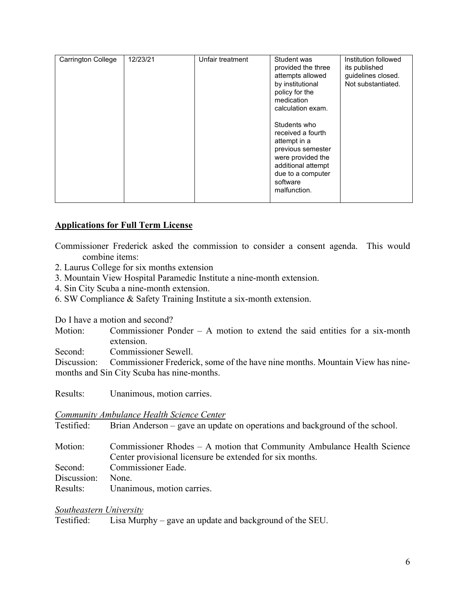| Carrington College | 12/23/21 | Unfair treatment | Student was<br>provided the three<br>attempts allowed<br>by institutional<br>policy for the<br>medication<br>calculation exam.<br>Students who<br>received a fourth<br>attempt in a<br>previous semester<br>were provided the<br>additional attempt<br>due to a computer<br>software<br>malfunction. | Institution followed<br>its published<br>guidelines closed.<br>Not substantiated. |
|--------------------|----------|------------------|------------------------------------------------------------------------------------------------------------------------------------------------------------------------------------------------------------------------------------------------------------------------------------------------------|-----------------------------------------------------------------------------------|
|                    |          |                  |                                                                                                                                                                                                                                                                                                      |                                                                                   |

### **Applications for Full Term License**

Commissioner Frederick asked the commission to consider a consent agenda. This would combine items:

- 2. Laurus College for six months extension
- 3. Mountain View Hospital Paramedic Institute a nine-month extension.
- 4. Sin City Scuba a nine-month extension.
- 6. SW Compliance & Safety Training Institute a six-month extension.

Do I have a motion and second?

Motion: Commissioner Ponder – A motion to extend the said entities for a six-month extension.

Second: Commissioner Sewell.

Discussion: Commissioner Frederick, some of the have nine months. Mountain View has ninemonths and Sin City Scuba has nine-months.

Results: Unanimous, motion carries.

### *Community Ambulance Health Science Center*

Testified: Brian Anderson – gave an update on operations and background of the school.

Motion: Commissioner Rhodes – A motion that Community Ambulance Health Science Center provisional licensure be extended for six months. Second: Commissioner Eade. Discussion: None.

Results: Unanimous, motion carries.

### *Southeastern University*

Testified: Lisa Murphy – gave an update and background of the SEU.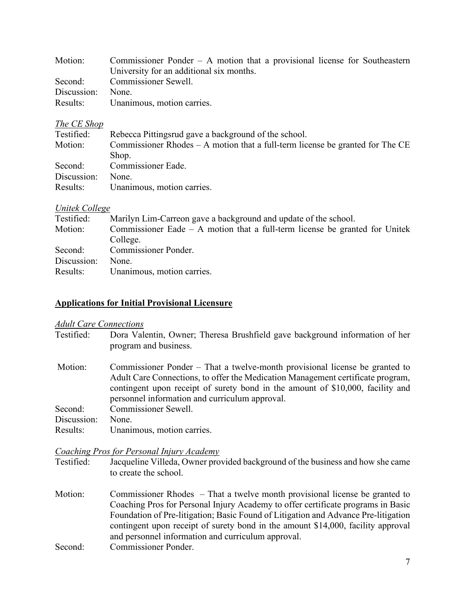| Motion:     | Commissioner Ponder $-$ A motion that a provisional license for Southeastern |
|-------------|------------------------------------------------------------------------------|
|             | University for an additional six months.                                     |
|             | Second: Commissioner Sewell.                                                 |
| Discussion: | None.                                                                        |
| Results:    | Unanimous, motion carries.                                                   |

### *The CE Shop*

| Testified:  | Rebecca Pittingsrud gave a background of the school.                            |
|-------------|---------------------------------------------------------------------------------|
| Motion:     | Commissioner Rhodes $- A$ motion that a full-term license be granted for The CE |
|             | Shop.                                                                           |
| Second:     | Commissioner Eade.                                                              |
| Discussion: | None.                                                                           |
| Results:    | Unanimous, motion carries.                                                      |

### *Unitek College*

| Testified:  | Marilyn Lim-Carreon gave a background and update of the school.               |
|-------------|-------------------------------------------------------------------------------|
| Motion:     | Commissioner Eade $-$ A motion that a full-term license be granted for Unitek |
|             | College.                                                                      |
| Second:     | Commissioner Ponder.                                                          |
| Discussion: | None.                                                                         |
| Results:    | Unanimous, motion carries.                                                    |

### **Applications for Initial Provisional Licensure**

### *Adult Care Connections*

Testified: Dora Valentin, Owner; Theresa Brushfield gave background information of her program and business.

| Motion:     | Commissioner Ponder – That a twelve-month provisional license be granted to     |
|-------------|---------------------------------------------------------------------------------|
|             | Adult Care Connections, to offer the Medication Management certificate program, |
|             | contingent upon receipt of surety bond in the amount of \$10,000, facility and  |
|             | personnel information and curriculum approval.                                  |
| Second:     | Commissioner Sewell.                                                            |
| Discussion: | None.                                                                           |
| Results:    | Unanimous, motion carries.                                                      |

### *Coaching Pros for Personal Injury Academy*

- Testified: Jacqueline Villeda, Owner provided background of the business and how she came to create the school.
- Motion: Commissioner Rhodes That a twelve month provisional license be granted to Coaching Pros for Personal Injury Academy to offer certificate programs in Basic Foundation of Pre-litigation; Basic Found of Litigation and Advance Pre-litigation contingent upon receipt of surety bond in the amount \$14,000, facility approval and personnel information and curriculum approval. Second: Commissioner Ponder.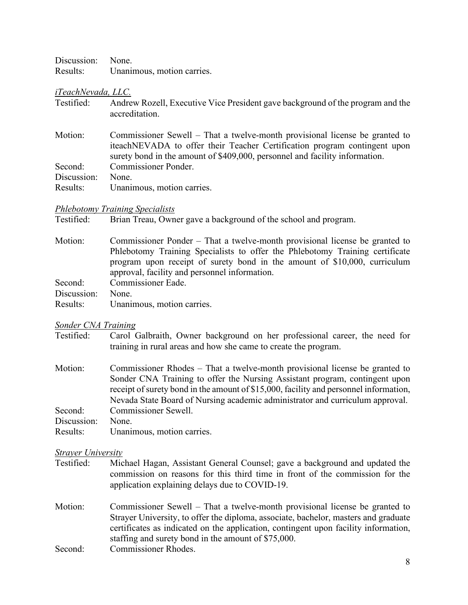| Discussion: None. |                            |
|-------------------|----------------------------|
| Results:          | Unanimous, motion carries. |

#### *iTeachNevada, LLC.*

- Testified: Andrew Rozell, Executive Vice President gave background of the program and the accreditation.
- Motion: Commissioner Sewell That a twelve-month provisional license be granted to iteachNEVADA to offer their Teacher Certification program contingent upon surety bond in the amount of \$409,000, personnel and facility information. Second: Commissioner Ponder. Discussion: None.
- Results: Unanimous, motion carries.

### *Phlebotomy Training Specialists*

Testified: Brian Treau, Owner gave a background of the school and program.

- Motion: Commissioner Ponder That a twelve-month provisional license be granted to Phlebotomy Training Specialists to offer the Phlebotomy Training certificate program upon receipt of surety bond in the amount of \$10,000, curriculum approval, facility and personnel information. Second: Commissioner Eade. Discussion: None.
- Results: Unanimous, motion carries.

### *Sonder CNA Training*

- Testified: Carol Galbraith, Owner background on her professional career, the need for training in rural areas and how she came to create the program.
- Motion: Commissioner Rhodes That a twelve-month provisional license be granted to Sonder CNA Training to offer the Nursing Assistant program, contingent upon receipt of surety bond in the amount of \$15,000, facility and personnel information, Nevada State Board of Nursing academic administrator and curriculum approval. Second: Commissioner Sewell.
- Discussion: None.
- Results: Unanimous, motion carries.

### *Strayer University*

- Testified: Michael Hagan, Assistant General Counsel; gave a background and updated the commission on reasons for this third time in front of the commission for the application explaining delays due to COVID-19.
- Motion: Commissioner Sewell That a twelve-month provisional license be granted to Strayer University, to offer the diploma, associate, bachelor, masters and graduate certificates as indicated on the application, contingent upon facility information, staffing and surety bond in the amount of \$75,000.
- Second: Commissioner Rhodes.